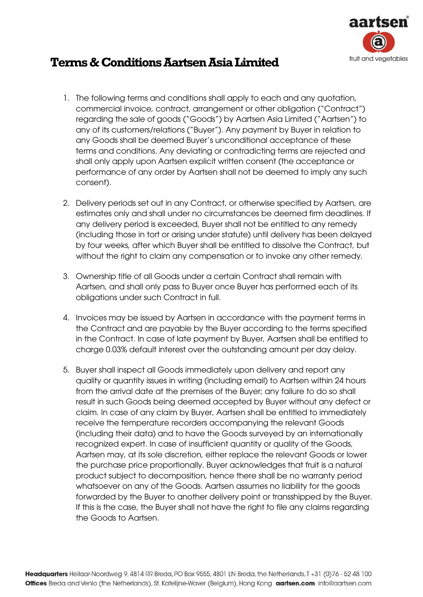

## **Terms & Conditions Aartsen Asia Limited**

- 1. The following terms and conditions shall apply to each and any quotation, commercial invoice, contract, arrangement or other obligation ("Contract") regarding the sale of goods ("Goods") by Aartsen Asia Limited ("Aartsen") to any of its customers/relations ("Buyer"). Any payment by Buyer in relation to any Goods shall be deemed Buyer's unconditional acceptance of these terms and conditions. Any deviating or contradicting terms are rejected and shall only apply upon Aartsen explicit written consent (the acceptance or performance of any order by Aartsen shall not be deemed to imply any such consent).
- 2. Delivery periods set out in any Contract, or otherwise specified by Aartsen, are estimates only and shall under no circumstances be deemed firm deadlines. If any delivery period is exceeded, Buyer shall not be entitled to any remedy (including those in tort or arising under statute) until delivery has been delayed by four weeks, after which Buyer shall be entitled to dissolve the Contract, but without the right to claim any compensation or to invoke any other remedy.
- 3. Ownership title of all Goods under a certain Contract shall remain with Aartsen, and shall only pass to Buyer once Buyer has performed each of its obligations under such Contract in full.
- 4. Invoices may be issued by Aartsen in accordance with the payment terms in the Contract and are payable by the Buyer according to the terms specified in the Contract. In case of late payment by Buyer, Aartsen shall be entitled to charge 0.03% default interest over the outstanding amount per day delay.
- 5. Buyer shall inspect all Goods immediately upon delivery and report any quality or quantity issues in writing (including email) to Aartsen within 24 hours from the arrival date at the premises of the Buyer; any failure to do so shall result in such Goods being deemed accepted by Buyer without any defect or claim. In case of any claim by Buyer, Aartsen shall be entitled to immediately receive the temperature recorders accompanying the relevant Goods (including their data) and to have the Goods surveyed by an internationally recognized expert. In case of insufficient quantity or quality of the Goods, Aartsen may, at its sole discretion, either replace the relevant Goods or lower the purchase price proportionally. Buyer acknowledges that fruit is a natural product subject to decomposition, hence there shall be no warranty period whatsoever on any of the Goods. Aartsen assumes no liability for the goods forwarded by the Buyer to another delivery point or transshipped by the Buyer. If this is the case, the Buyer shall not have the right to file any claims regarding the Goods to Aartsen.